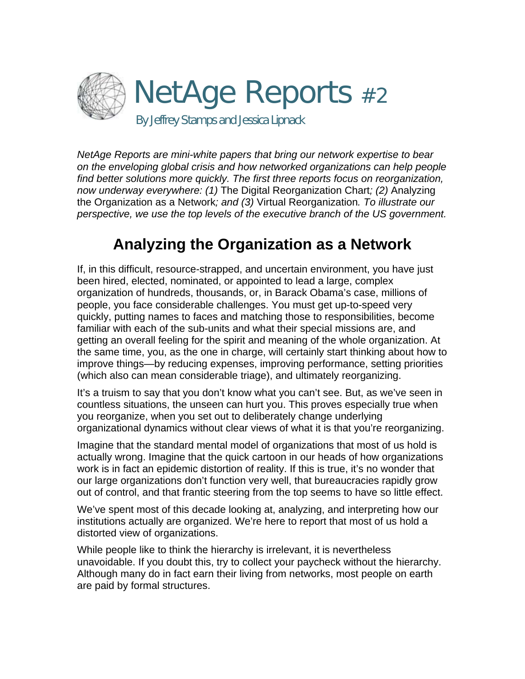

*NetAge Reports are mini-white papers that bring our network expertise to bear on the enveloping global crisis and how networked organizations can help people find better solutions more quickly. The first three reports focus on reorganization, now underway everywhere: (1)* The Digital Reorganization Chart*; (2)* Analyzing the Organization as a Network*; and (3)* Virtual Reorganization*. To illustrate our perspective, we use the top levels of the executive branch of the US government.* 

# **Analyzing the Organization as a Network**

If, in this difficult, resource-strapped, and uncertain environment, you have just been hired, elected, nominated, or appointed to lead a large, complex organization of hundreds, thousands, or, in Barack Obama's case, millions of people, you face considerable challenges. You must get up-to-speed very quickly, putting names to faces and matching those to responsibilities, become familiar with each of the sub-units and what their special missions are, and getting an overall feeling for the spirit and meaning of the whole organization. At the same time, you, as the one in charge, will certainly start thinking about how to improve things—by reducing expenses, improving performance, setting priorities (which also can mean considerable triage), and ultimately reorganizing.

It's a truism to say that you don't know what you can't see. But, as we've seen in countless situations, the unseen can hurt you. This proves especially true when you reorganize, when you set out to deliberately change underlying organizational dynamics without clear views of what it is that you're reorganizing.

Imagine that the standard mental model of organizations that most of us hold is actually wrong. Imagine that the quick cartoon in our heads of how organizations work is in fact an epidemic distortion of reality. If this is true, it's no wonder that our large organizations don't function very well, that bureaucracies rapidly grow out of control, and that frantic steering from the top seems to have so little effect.

We've spent most of this decade looking at, analyzing, and interpreting how our institutions actually are organized. We're here to report that most of us hold a distorted view of organizations.

While people like to think the hierarchy is irrelevant, it is nevertheless unavoidable. If you doubt this, try to collect your paycheck without the hierarchy. Although many do in fact earn their living from networks, most people on earth are paid by formal structures.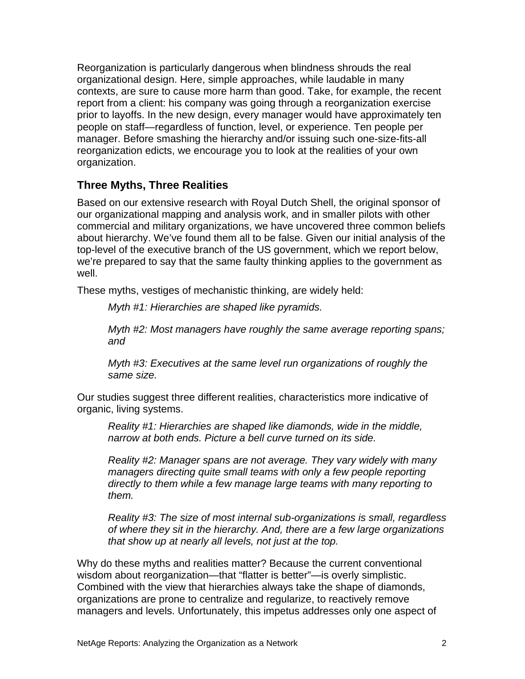Reorganization is particularly dangerous when blindness shrouds the real organizational design. Here, simple approaches, while laudable in many contexts, are sure to cause more harm than good. Take, for example, the recent report from a client: his company was going through a reorganization exercise prior to layoffs. In the new design, every manager would have approximately ten people on staff—regardless of function, level, or experience. Ten people per manager. Before smashing the hierarchy and/or issuing such one-size-fits-all reorganization edicts, we encourage you to look at the realities of your own organization.

#### **Three Myths, Three Realities**

Based on our extensive research with Royal Dutch Shell, the original sponsor of our organizational mapping and analysis work, and in smaller pilots with other commercial and military organizations, we have uncovered three common beliefs about hierarchy. We've found them all to be false. Given our initial analysis of the top-level of the executive branch of the US government, which we report below, we're prepared to say that the same faulty thinking applies to the government as well.

These myths, vestiges of mechanistic thinking, are widely held:

*Myth #1: Hierarchies are shaped like pyramids.* 

*Myth #2: Most managers have roughly the same average reporting spans; and* 

*Myth #3: Executives at the same level run organizations of roughly the same size.* 

Our studies suggest three different realities, characteristics more indicative of organic, living systems.

*Reality #1: Hierarchies are shaped like diamonds, wide in the middle, narrow at both ends. Picture a bell curve turned on its side.* 

*Reality #2: Manager spans are not average. They vary widely with many managers directing quite small teams with only a few people reporting directly to them while a few manage large teams with many reporting to them.* 

*Reality #3: The size of most internal sub-organizations is small, regardless of where they sit in the hierarchy. And, there are a few large organizations that show up at nearly all levels, not just at the top.* 

Why do these myths and realities matter? Because the current conventional wisdom about reorganization—that "flatter is better"—is overly simplistic. Combined with the view that hierarchies always take the shape of diamonds, organizations are prone to centralize and regularize, to reactively remove managers and levels. Unfortunately, this impetus addresses only one aspect of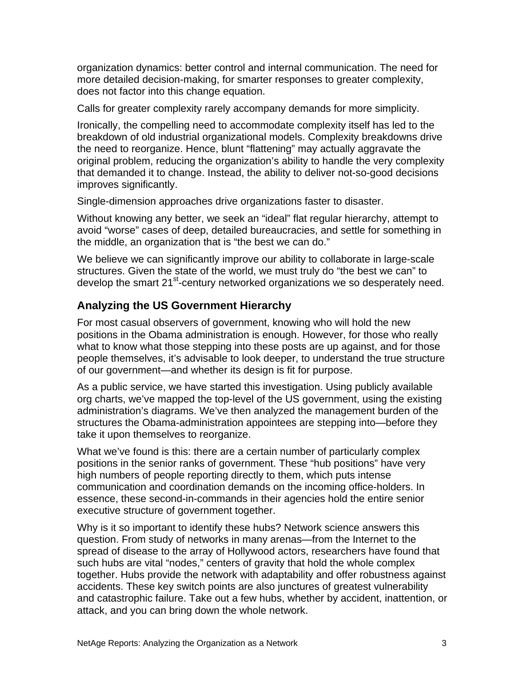organization dynamics: better control and internal communication. The need for more detailed decision-making, for smarter responses to greater complexity, does not factor into this change equation.

Calls for greater complexity rarely accompany demands for more simplicity.

Ironically, the compelling need to accommodate complexity itself has led to the breakdown of old industrial organizational models. Complexity breakdowns drive the need to reorganize. Hence, blunt "flattening" may actually aggravate the original problem, reducing the organization's ability to handle the very complexity that demanded it to change. Instead, the ability to deliver not-so-good decisions improves significantly.

Single-dimension approaches drive organizations faster to disaster.

Without knowing any better, we seek an "ideal" flat regular hierarchy, attempt to avoid "worse" cases of deep, detailed bureaucracies, and settle for something in the middle, an organization that is "the best we can do."

We believe we can significantly improve our ability to collaborate in large-scale structures. Given the state of the world, we must truly do "the best we can" to develop the smart 21<sup>st</sup>-century networked organizations we so desperately need.

## **Analyzing the US Government Hierarchy**

For most casual observers of government, knowing who will hold the new positions in the Obama administration is enough. However, for those who really what to know what those stepping into these posts are up against, and for those people themselves, it's advisable to look deeper, to understand the true structure of our government—and whether its design is fit for purpose.

As a public service, we have started this investigation. Using publicly available org charts, we've mapped the top-level of the US government, using the existing administration's diagrams. We've then analyzed the management burden of the structures the Obama-administration appointees are stepping into—before they take it upon themselves to reorganize.

What we've found is this: there are a certain number of particularly complex positions in the senior ranks of government. These "hub positions" have very high numbers of people reporting directly to them, which puts intense communication and coordination demands on the incoming office-holders. In essence, these second-in-commands in their agencies hold the entire senior executive structure of government together.

Why is it so important to identify these hubs? Network science answers this question. From study of networks in many arenas—from the Internet to the spread of disease to the array of Hollywood actors, researchers have found that such hubs are vital "nodes," centers of gravity that hold the whole complex together. Hubs provide the network with adaptability and offer robustness against accidents. These key switch points are also junctures of greatest vulnerability and catastrophic failure. Take out a few hubs, whether by accident, inattention, or attack, and you can bring down the whole network.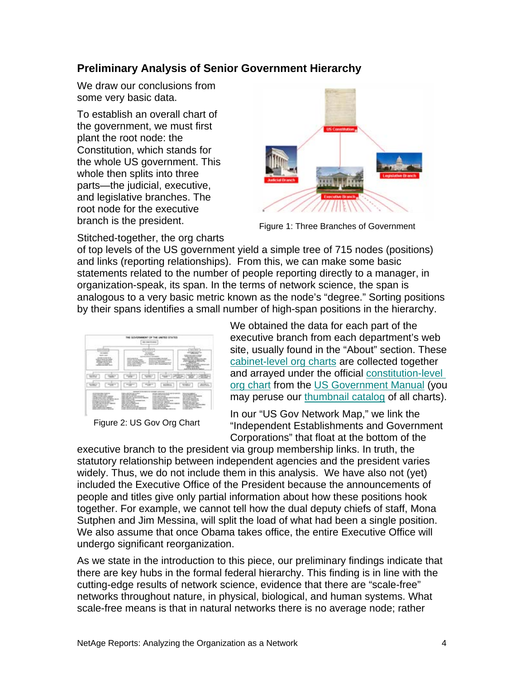### **Preliminary Analysis of Senior Government Hierarchy**

We draw our conclusions from some very basic data.

To establish an overall chart of the government, we must first plant the root node: the Constitution, which stands for the whole US government. This whole then splits into three parts—the judicial, executive, and legislative branches. The root node for the executive branch is the president.



Figure 1: Three Branches of Government

Stitched-together, the org charts

of top levels of the US government yield a simple tree of 715 nodes (positions) and links (reporting relationships). From this, we can make some basic statements related to the number of people reporting directly to a manager, in organization-speak, its span. In the terms of network science, the span is analogous to a very basic metric known as the node's "degree." Sorting positions by their spans identifies a small number of high-span positions in the hierarchy.

|                                                                                                                                                                                                                                                                                                                         | <b><i>CATALOG MUNICIPAL BA</i></b><br><b>SIE: CHRONICAGES</b><br>٠                                                                                                                                                                                                                                                                                                                                                                                                                                                                                                                                                                                                                                                              |                                                                                                                                                                                                                                                                                                                                                                    |
|-------------------------------------------------------------------------------------------------------------------------------------------------------------------------------------------------------------------------------------------------------------------------------------------------------------------------|---------------------------------------------------------------------------------------------------------------------------------------------------------------------------------------------------------------------------------------------------------------------------------------------------------------------------------------------------------------------------------------------------------------------------------------------------------------------------------------------------------------------------------------------------------------------------------------------------------------------------------------------------------------------------------------------------------------------------------|--------------------------------------------------------------------------------------------------------------------------------------------------------------------------------------------------------------------------------------------------------------------------------------------------------------------------------------------------------------------|
| ---<br>------<br>۰<br>with the first dealership dealership<br>---------<br>w<br><b>District College Print</b><br>show the property<br>$\sim$<br><b><i>CARD CARD AND THE STATE OF</i></b>                                                                                                                                | the state of<br><b>STATISTICS</b><br>---<br>--------<br><b>And A contact de company con-</b><br><b>Scott College Council</b><br><b>South &amp; All Corporation comment</b><br>and the local contracts.<br>THE R. P. LEWIS CO., LANSING MICH.<br>۰<br>take a collection for descriptions<br>and and control<br><b>ASSESSED MANAGERS</b>                                                                                                                                                                                                                                                                                                                                                                                          | <b>CALL AND</b><br><b>Contract Contract</b><br><b>MARY R</b><br><b>SCRATTE AT LCCC.</b><br>--<br><b>UTErra</b><br>$\sim$<br><b>WANTED</b><br>the search of the con-<br>_______<br><b>GUNDATION</b><br>all provided and states<br>and Child Streets County                                                                                                          |
| <b>Service of</b><br>description of<br>--                                                                                                                                                                                                                                                                               | --<br>and the property of<br><b>Britishering</b><br>⊸<br>---<br>≖                                                                                                                                                                                                                                                                                                                                                                                                                                                                                                                                                                                                                                                               | ALC: UNK<br>---<br><b>All relations</b><br><b>Brander</b><br>--<br><b>Charles State</b>                                                                                                                                                                                                                                                                            |
| -------<br>--<br>--<br>contract and contract and contract and<br>complete the last structure class with an<br>provided to detect rate state.<br>or private arrangement company<br>controlled rather than to<br>THE CHARLES COMPANY<br><b>SEARCH CARD CONTROLLER COMPANY</b><br>and the company we will see that will be | ______<br>will as interest or local and concentra-<br>________<br><b>STATISTICS</b> COMPANY<br><b>ANTIQUE AND RESERVED AT THE ANTIQUE</b><br><b>PERMIT SERVICE</b><br>--<br><b>Margaret Avenue</b><br>a thing a strike to prove<br>and the control of the control of the<br>widow Handburg Group and<br>don't service the companies<br><b><i>A CARD BALLAST CARD CARD FOR</i></b><br><b>SERVICE CONTROL</b><br>Christian Corp. Co. Milledge and the<br><b>CALCULATION CONTINUES</b><br>and and an extent<br><b>Printed Automotive</b><br>Anticol Monday Avenue<br><b>By THE COMPANY OF AN INCOME.</b><br>primer detectiving area changes<br>environment country<br>the property of the control of the control of the control of | <b><i><u>Property Controllers And </u></i></b><br>A clarify secondary classic<br>With the catch condition and<br>A driver decorating<br><b><i>DE LONG MOLEN</i></b><br>And Every American<br>Montage also science.<br><b>CARD ON MOTORS CARDS</b><br><b>Seller Motor Advised Co.</b><br><b>Committee of State</b><br>company that the company<br><b>CONTRACTOR</b> |

Figure 2: US Gov Org Chart

We obtained the data for each part of the executive branch from each department's web site, usually found in the "About" section. These [cabinet-level org charts](http://www.netage.com/economics/index-govcharts.html) are collected together and arrayed under the official [constitution-level](http://www.netage.com/economics/gov/Gov-chart-top.html)  [org chart](http://www.netage.com/economics/gov/Gov-chart-top.html) from the [US Government Manual](http://www.gpoaccess.gov/gmanual/index.html) (you may peruse our [thumbnail catalog](http://www.netage.com/economics/gov/catalog-org-charts.html) of all charts).

In our "US Gov Network Map," we link the "Independent Establishments and Government Corporations" that float at the bottom of the

executive branch to the president via group membership links. In truth, the statutory relationship between independent agencies and the president varies widely. Thus, we do not include them in this analysis. We have also not (yet) included the Executive Office of the President because the announcements of people and titles give only partial information about how these positions hook together. For example, we cannot tell how the dual deputy chiefs of staff, Mona Sutphen and Jim Messina, will split the load of what had been a single position. We also assume that once Obama takes office, the entire Executive Office will undergo significant reorganization.

As we state in the introduction to this piece, our preliminary findings indicate that there are key hubs in the formal federal hierarchy. This finding is in line with the cutting-edge results of network science, evidence that there are "scale-free" networks throughout nature, in physical, biological, and human systems. What scale-free means is that in natural networks there is no average node; rather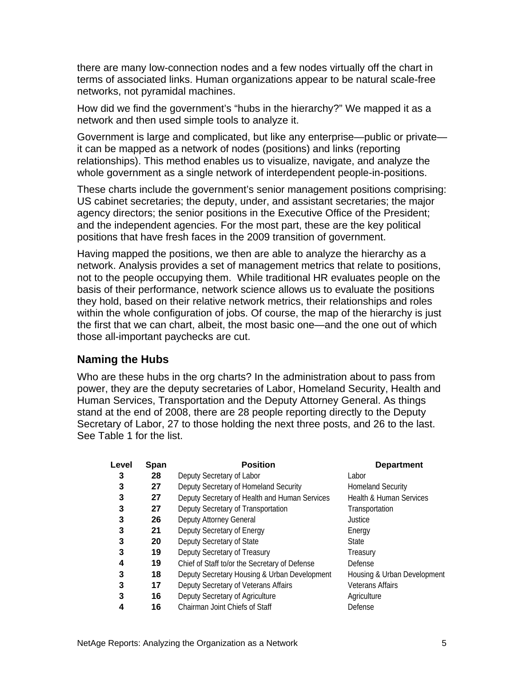there are many low-connection nodes and a few nodes virtually off the chart in terms of associated links. Human organizations appear to be natural scale-free networks, not pyramidal machines.

How did we find the government's "hubs in the hierarchy?" We mapped it as a network and then used simple tools to analyze it.

Government is large and complicated, but like any enterprise—public or private it can be mapped as a network of nodes (positions) and links (reporting relationships). This method enables us to visualize, navigate, and analyze the whole government as a single network of interdependent people-in-positions.

These charts include the government's senior management positions comprising: US cabinet secretaries; the deputy, under, and assistant secretaries; the major agency directors; the senior positions in the Executive Office of the President; and the independent agencies. For the most part, these are the key political positions that have fresh faces in the 2009 transition of government.

Having mapped the positions, we then are able to analyze the hierarchy as a network. Analysis provides a set of management metrics that relate to positions, not to the people occupying them. While traditional HR evaluates people on the basis of their performance, network science allows us to evaluate the positions they hold, based on their relative network metrics, their relationships and roles within the whole configuration of jobs. Of course, the map of the hierarchy is just the first that we can chart, albeit, the most basic one—and the one out of which those all-important paychecks are cut.

#### **Naming the Hubs**

Who are these hubs in the org charts? In the administration about to pass from power, they are the deputy secretaries of Labor, Homeland Security, Health and Human Services, Transportation and the Deputy Attorney General. As things stand at the end of 2008, there are 28 people reporting directly to the Deputy Secretary of Labor, 27 to those holding the next three posts, and 26 to the last. See Table 1 for the list.

| Level | Span | <b>Position</b>                               | <b>Department</b>                  |
|-------|------|-----------------------------------------------|------------------------------------|
| 3     | 28   | Deputy Secretary of Labor                     | Labor                              |
| 3     | 27   | Deputy Secretary of Homeland Security         | <b>Homeland Security</b>           |
| 3     | 27   | Deputy Secretary of Health and Human Services | <b>Health &amp; Human Services</b> |
| 3     | 27   | Deputy Secretary of Transportation            | Transportation                     |
| 3     | 26   | Deputy Attorney General                       | Justice                            |
| 3     | 21   | Deputy Secretary of Energy                    | Energy                             |
| 3     | 20   | Deputy Secretary of State                     | <b>State</b>                       |
| 3     | 19   | Deputy Secretary of Treasury                  | Treasury                           |
| 4     | 19   | Chief of Staff to/or the Secretary of Defense | Defense                            |
| 3     | 18   | Deputy Secretary Housing & Urban Development  | Housing & Urban Development        |
| 3     | 17   | Deputy Secretary of Veterans Affairs          | <b>Veterans Affairs</b>            |
| 3     | 16   | Deputy Secretary of Agriculture               | Agriculture                        |
| 4     | 16   | Chairman Joint Chiefs of Staff                | Defense                            |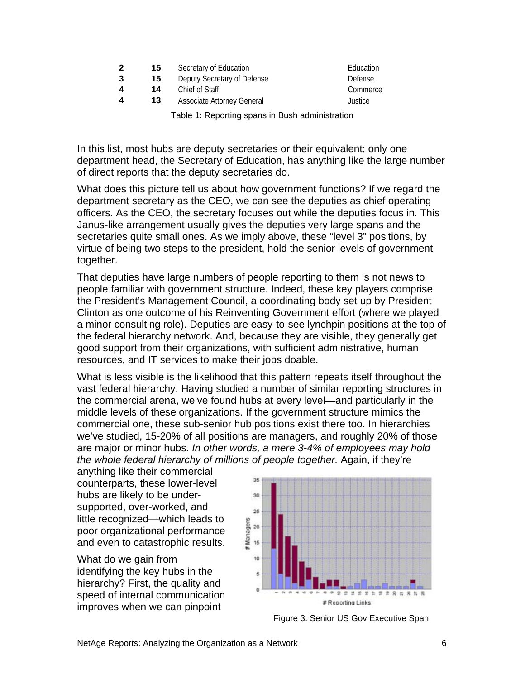| $\mathbf 2$                                     | 15 | Secretary of Education            | Education |
|-------------------------------------------------|----|-----------------------------------|-----------|
| 3                                               | 15 | Deputy Secretary of Defense       | Defense   |
| 4                                               | 14 | Chief of Staff                    | Commerce  |
| 4                                               | 13 | <b>Associate Attorney General</b> | Justice   |
| Table 1: Reporting spans in Bush administration |    |                                   |           |

In this list, most hubs are deputy secretaries or their equivalent; only one department head, the Secretary of Education, has anything like the large number

of direct reports that the deputy secretaries do.

What does this picture tell us about how government functions? If we regard the department secretary as the CEO, we can see the deputies as chief operating officers. As the CEO, the secretary focuses out while the deputies focus in. This Janus-like arrangement usually gives the deputies very large spans and the secretaries quite small ones. As we imply above, these "level 3" positions, by virtue of being two steps to the president, hold the senior levels of government together.

That deputies have large numbers of people reporting to them is not news to people familiar with government structure. Indeed, these key players comprise the President's Management Council, a coordinating body set up by President Clinton as one outcome of his Reinventing Government effort (where we played a minor consulting role). Deputies are easy-to-see lynchpin positions at the top of the federal hierarchy network. And, because they are visible, they generally get good support from their organizations, with sufficient administrative, human resources, and IT services to make their jobs doable.

What is less visible is the likelihood that this pattern repeats itself throughout the vast federal hierarchy. Having studied a number of similar reporting structures in the commercial arena, we've found hubs at every level—and particularly in the middle levels of these organizations. If the government structure mimics the commercial one, these sub-senior hub positions exist there too. In hierarchies we've studied, 15-20% of all positions are managers, and roughly 20% of those are major or minor hubs. *In other words, a mere 3-4% of employees may hold the whole federal hierarchy of millions of people together.* Again, if they're

anything like their commercial counterparts, these lower-level hubs are likely to be undersupported, over-worked, and little recognized—which leads to poor organizational performance and even to catastrophic results.

What do we gain from identifying the key hubs in the hierarchy? First, the quality and speed of internal communication improves when we can pinpoint



Figure 3: Senior US Gov Executive Span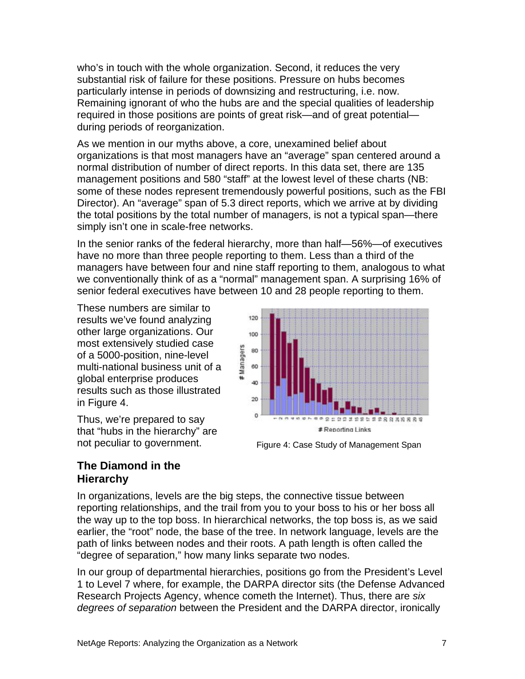who's in touch with the whole organization. Second, it reduces the very substantial risk of failure for these positions. Pressure on hubs becomes particularly intense in periods of downsizing and restructuring, i.e. now. Remaining ignorant of who the hubs are and the special qualities of leadership required in those positions are points of great risk—and of great potential during periods of reorganization.

As we mention in our myths above, a core, unexamined belief about organizations is that most managers have an "average" span centered around a normal distribution of number of direct reports. In this data set, there are 135 management positions and 580 "staff" at the lowest level of these charts (NB: some of these nodes represent tremendously powerful positions, such as the FBI Director). An "average" span of 5.3 direct reports, which we arrive at by dividing the total positions by the total number of managers, is not a typical span—there simply isn't one in scale-free networks.

In the senior ranks of the federal hierarchy, more than half—56%—of executives have no more than three people reporting to them. Less than a third of the managers have between four and nine staff reporting to them, analogous to what we conventionally think of as a "normal" management span. A surprising 16% of senior federal executives have between 10 and 28 people reporting to them.

These numbers are similar to results we've found analyzing other large organizations. Our most extensively studied case of a 5000-position, nine-level multi-national business unit of a global enterprise produces results such as those illustrated in Figure 4.

Thus, we're prepared to say that "hubs in the hierarchy" are not peculiar to government.



Figure 4: Case Study of Management Span

#### **The Diamond in the Hierarchy**

In organizations, levels are the big steps, the connective tissue between reporting relationships, and the trail from you to your boss to his or her boss all the way up to the top boss. In hierarchical networks, the top boss is, as we said earlier, the "root" node, the base of the tree. In network language, levels are the path of links between nodes and their roots. A path length is often called the "degree of separation," how many links separate two nodes.

In our group of departmental hierarchies, positions go from the President's Level 1 to Level 7 where, for example, the DARPA director sits (the Defense Advanced Research Projects Agency, whence cometh the Internet). Thus, there are *six degrees of separation* between the President and the DARPA director, ironically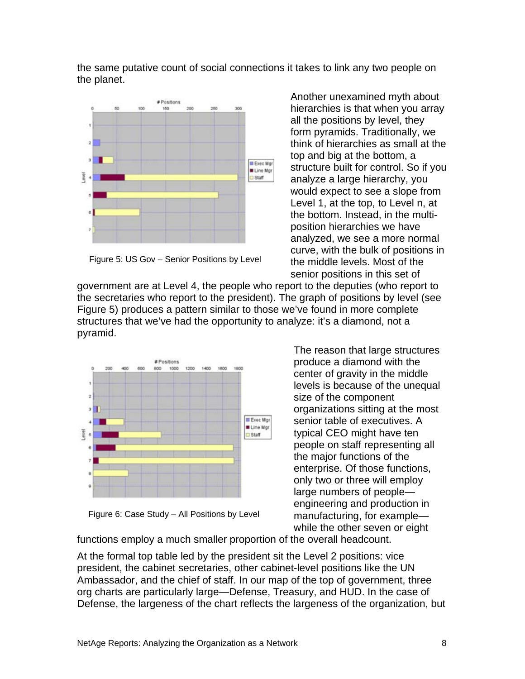the same putative count of social connections it takes to link any two people on the planet.



Figure 5: US Gov – Senior Positions by Level

pyramid.

would expect to see a slope from Level 1, at the top, to Level n, at the bottom. Instead, in the multiposition hierarchies we have analyzed, we see a more normal curve, with the bulk of positions in the middle levels. Most of the senior positions in this set of government are at Level 4, the people who report to the deputies (who report to the secretaries who report to the president). The graph of positions by level (see Figure 5) produces a pattern similar to those we've found in more complete



Figure 6: Case Study – All Positions by Level

The reason that large structures produce a diamond with the center of gravity in the middle levels is because of the unequal size of the component organizations sitting at the most senior table of executives. A typical CEO might have ten people on staff representing all the major functions of the enterprise. Of those functions, only two or three will employ large numbers of people engineering and production in manufacturing, for example while the other seven or eight

Another unexamined myth about hierarchies is that when you array all the positions by level, they form pyramids. Traditionally, we think of hierarchies as small at the

structure built for control. So if you analyze a large hierarchy, you

top and big at the bottom, a

functions employ a much smaller proportion of the overall headcount.

At the formal top table led by the president sit the Level 2 positions: vice president, the cabinet secretaries, other cabinet-level positions like the UN Ambassador, and the chief of staff. In our map of the top of government, three org charts are particularly large—Defense, Treasury, and HUD. In the case of Defense, the largeness of the chart reflects the largeness of the organization, but

structures that we've had the opportunity to analyze: it's a diamond, not a